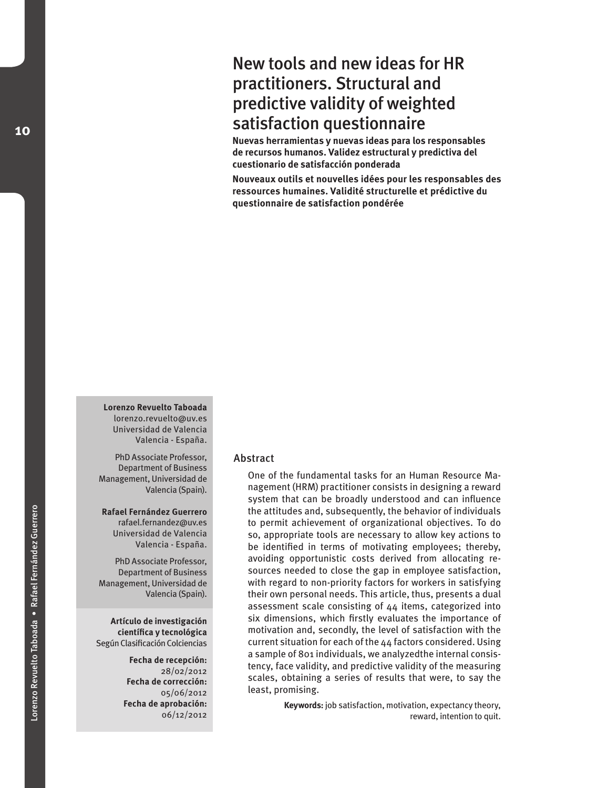# New tools and new ideas for HR practitioners. Structural and predictive validity of weighted satisfaction questionnaire

**Nuevas herramientas y nuevas ideas para los responsables de recursos humanos. Validez estructural y predictiva del cuestionario de satisfacción ponderada**

**Nouveaux outils et nouvelles idées pour les responsables des ressources humaines. Validité structurelle et prédictive du questionnaire de satisfaction pondérée**

**Lorenzo Revuelto Taboada** lorenzo.revuelto@uv.es Universidad de Valencia Valencia - España.

PhD Associate Professor, Department of Business Management, Universidad de Valencia (Spain).

**Rafael Fernández Guerrero** rafael.fernandez@uv.es Universidad de Valencia Valencia - España.

PhD Associate Professor, Department of Business Management, Universidad de Valencia (Spain).

**Artículo de investigación científica y tecnológica**  Según Clasificación Colciencias

> **Fecha de recepción:** 28/02/2012 **Fecha de corrección:** 05/06/2012 **Fecha de aprobación:**  06/12/2012

## Abstract

One of the fundamental tasks for an Human Resource Management (HRM) practitioner consists in designing a reward system that can be broadly understood and can influence the attitudes and, subsequently, the behavior of individuals to permit achievement of organizational objectives. To do so, appropriate tools are necessary to allow key actions to be identified in terms of motivating employees; thereby, avoiding opportunistic costs derived from allocating resources needed to close the gap in employee satisfaction, with regard to non-priority factors for workers in satisfying their own personal needs. This article, thus, presents a dual assessment scale consisting of 44 items, categorized into six dimensions, which firstly evaluates the importance of motivation and, secondly, the level of satisfaction with the current situation for each of the 44 factors considered. Using a sample of 801 individuals, we analyzedthe internal consistency, face validity, and predictive validity of the measuring scales, obtaining a series of results that were, to say the least, promising.

> **Keywords:** job satisfaction, motivation, expectancy theory, reward, intention to quit.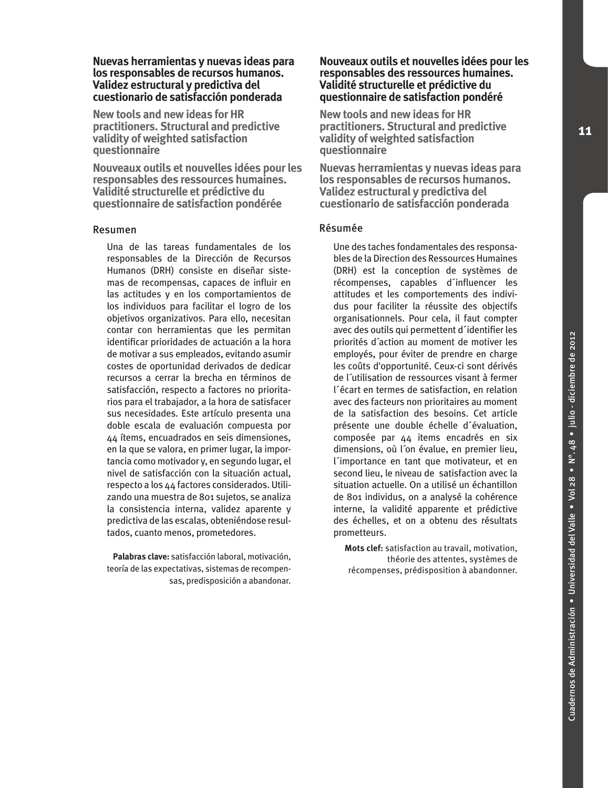### **Nuevas herramientas y nuevas ideas para los responsables de recursos humanos. Validez estructural y predictiva del cuestionario de satisfacción ponderada**

**New tools and new ideas for HR practitioners. Structural and predictive validity of weighted satisfaction questionnaire**

**Nouveaux outils et nouvelles idées pour les responsables des ressources humaines. Validité structurelle et prédictive du questionnaire de satisfaction pondérée**

### Resumen

Una de las tareas fundamentales de los responsables de la Dirección de Recursos Humanos (DRH) consiste en diseñar sistemas de recompensas, capaces de influir en las actitudes y en los comportamientos de los individuos para facilitar el logro de los objetivos organizativos. Para ello, necesitan contar con herramientas que les permitan identificar prioridades de actuación a la hora de motivar a sus empleados, evitando asumir costes de oportunidad derivados de dedicar recursos a cerrar la brecha en términos de satisfacción, respecto a factores no prioritarios para el trabajador, a la hora de satisfacer sus necesidades. Este artículo presenta una doble escala de evaluación compuesta por 44 ítems, encuadrados en seis dimensiones, en la que se valora, en primer lugar, la importancia como motivador y, en segundo lugar, el nivel de satisfacción con la situación actual, respecto a los 44 factores considerados. Utilizando una muestra de 801 sujetos, se analiza la consistencia interna, validez aparente y predictiva de las escalas, obteniéndose resultados, cuanto menos, prometedores.

**Palabras clave:** satisfacción laboral, motivación, teoría de las expectativas, sistemas de recompensas, predisposición a abandonar.

### **Nouveaux outils et nouvelles idées pour les responsables des ressources humaines. Validité structurelle et prédictive du questionnaire de satisfaction pondéré**

**New tools and new ideas for HR practitioners. Structural and predictive validity of weighted satisfaction questionnaire**

**Nuevas herramientas y nuevas ideas para los responsables de recursos humanos. Validez estructural y predictiva del cuestionario de satisfacción ponderada**

### Résumée

Une des taches fondamentales des responsables de la Direction des Ressources Humaines (DRH) est la conception de systèmes de récompenses, capables d´influencer les attitudes et les comportements des individus pour faciliter la réussite des objectifs organisationnels. Pour cela, il faut compter avec des outils qui permettent d´identifier les priorités d´action au moment de motiver les employés, pour éviter de prendre en charge les coûts d'opportunité. Ceux-ci sont dérivés de l´utilisation de ressources visant à fermer l´écart en termes de satisfaction, en relation avec des facteurs non prioritaires au moment de la satisfaction des besoins. Cet article présente une double échelle d´évaluation, composée par 44 items encadrés en six dimensions, où l´on évalue, en premier lieu, l´importance en tant que motivateur, et en second lieu, le niveau de satisfaction avec la situation actuelle. On a utilisé un échantillon de 801 individus, on a analysé la cohérence interne, la validité apparente et prédictive des échelles, et on a obtenu des résultats prometteurs.

**Mots clef:** satisfaction au travail, motivation, théorie des attentes, systèmes de récompenses, prédisposition à abandonner.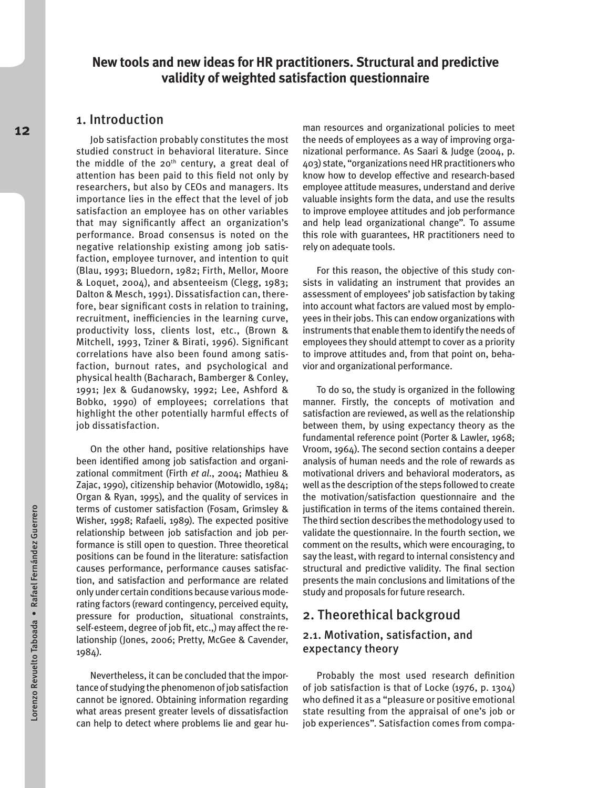## **New tools and new ideas for HR practitioners. Structural and predictive validity of weighted satisfaction questionnaire**

## 1. Introduction

Job satisfaction probably constitutes the most studied construct in behavioral literature. Since the middle of the 20<sup>th</sup> century, a great deal of attention has been paid to this field not only by researchers, but also by CEOs and managers. Its importance lies in the effect that the level of job satisfaction an employee has on other variables that may significantly affect an organization's performance. Broad consensus is noted on the negative relationship existing among job satisfaction, employee turnover, and intention to quit (Blau, 1993; Bluedorn, 1982; Firth, Mellor, Moore & Loquet, 2004), and absenteeism (Clegg, 1983; Dalton & Mesch, 1991). Dissatisfaction can, therefore, bear significant costs in relation to training, recruitment, inefficiencies in the learning curve, productivity loss, clients lost, etc., (Brown & Mitchell, 1993, Tziner & Birati, 1996). Significant correlations have also been found among satisfaction, burnout rates, and psychological and physical health (Bacharach, Bamberger & Conley, 1991; Jex & Gudanowsky, 1992; Lee, Ashford & Bobko, 1990) of employees; correlations that highlight the other potentially harmful effects of job dissatisfaction.

On the other hand, positive relationships have been identified among job satisfaction and organizational commitment (Firth *et al*., 2004; Mathieu & Zajac, 1990), citizenship behavior (Motowidlo, 1984; Organ & Ryan, 1995), and the quality of services in terms of customer satisfaction (Fosam, Grimsley & Wisher, 1998; Rafaeli, 1989). The expected positive relationship between job satisfaction and job performance is still open to question. Three theoretical positions can be found in the literature: satisfaction causes performance, performance causes satisfaction, and satisfaction and performance are related only under certain conditions because various moderating factors (reward contingency, perceived equity, pressure for production, situational constraints, self-esteem, degree of job fit, etc.,) may affect the relationship (Jones, 2006; Pretty, McGee & Cavender, 1984).

Nevertheless, it can be concluded that the importance of studying the phenomenon of job satisfaction cannot be ignored. Obtaining information regarding what areas present greater levels of dissatisfaction can help to detect where problems lie and gear hu-

man resources and organizational policies to meet the needs of employees as a way of improving organizational performance. As Saari & Judge (2004, p. 403) state, "organizations need HR practitioners who know how to develop effective and research-based employee attitude measures, understand and derive valuable insights form the data, and use the results to improve employee attitudes and job performance and help lead organizational change". To assume this role with guarantees, HR practitioners need to rely on adequate tools.

For this reason, the objective of this study consists in validating an instrument that provides an assessment of employees' job satisfaction by taking into account what factors are valued most by employees in their jobs. This can endow organizations with instruments that enable them to identify the needs of employees they should attempt to cover as a priority to improve attitudes and, from that point on, behavior and organizational performance.

To do so, the study is organized in the following manner. Firstly, the concepts of motivation and satisfaction are reviewed, as well as the relationship between them, by using expectancy theory as the fundamental reference point (Porter & Lawler, 1968; Vroom, 1964). The second section contains a deeper analysis of human needs and the role of rewards as motivational drivers and behavioral moderators, as well as the description of the steps followed to create the motivation/satisfaction questionnaire and the justification in terms of the items contained therein. The third section describes the methodology used to validate the questionnaire. In the fourth section, we comment on the results, which were encouraging, to say the least, with regard to internal consistency and structural and predictive validity. The final section presents the main conclusions and limitations of the study and proposals for future research.

## 2. Theorethical backgroud

## 2.1. Motivation, satisfaction, and expectancy theory

Probably the most used research definition of job satisfaction is that of Locke (1976, p. 1304) who defined it as a "pleasure or positive emotional state resulting from the appraisal of one's job or job experiences". Satisfaction comes from compa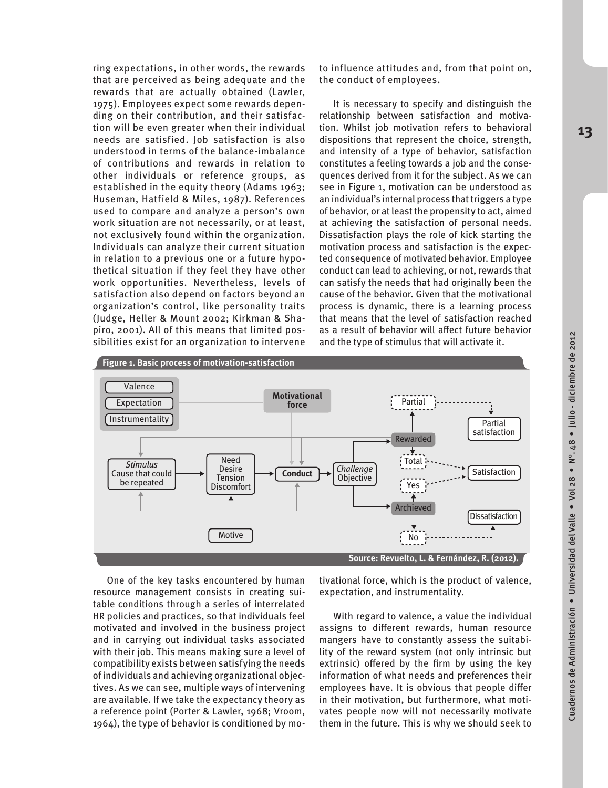ring expectations, in other words, the rewards that are perceived as being adequate and the rewards that are actually obtained (Lawler, 1975). Employees expect some rewards depending on their contribution, and their satisfaction will be even greater when their individual needs are satisfied. Job satisfaction is also understood in terms of the balance-imbalance of contributions and rewards in relation to other individuals or reference groups, as established in the equity theory (Adams 1963; Huseman, Hatfield & Miles, 1987). References used to compare and analyze a person's own work situation are not necessarily, or at least, not exclusively found within the organization. Individuals can analyze their current situation in relation to a previous one or a future hypothetical situation if they feel they have other work opportunities. Nevertheless, levels of satisfaction also depend on factors beyond an organization's control, like personality traits (Judge, Heller & Mount 2002; Kirkman & Shapiro, 2001). All of this means that limited possibilities exist for an organization to intervene

to influence attitudes and, from that point on, the conduct of employees.

It is necessary to specify and distinguish the relationship between satisfaction and motivation. Whilst job motivation refers to behavioral dispositions that represent the choice, strength, and intensity of a type of behavior, satisfaction constitutes a feeling towards a job and the consequences derived from it for the subject. As we can see in Figure 1, motivation can be understood as an individual's internal process that triggers a type of behavior, or at least the propensity to act, aimed at achieving the satisfaction of personal needs. Dissatisfaction plays the role of kick starting the motivation process and satisfaction is the expected consequence of motivated behavior. Employee conduct can lead to achieving, or not, rewards that can satisfy the needs that had originally been the cause of the behavior. Given that the motivational process is dynamic, there is a learning process that means that the level of satisfaction reached as a result of behavior will affect future behavior and the type of stimulus that will activate it.



One of the key tasks encountered by human resource management consists in creating suitable conditions through a series of interrelated HR policies and practices, so that individuals feel motivated and involved in the business project and in carrying out individual tasks associated with their job. This means making sure a level of compatibility exists between satisfying the needs of individuals and achieving organizational objectives. As we can see, multiple ways of intervening are available. If we take the expectancy theory as a reference point (Porter & Lawler, 1968; Vroom, 1964), the type of behavior is conditioned by motivational force, which is the product of valence, expectation, and instrumentality.

With regard to valence, a value the individual assigns to different rewards, human resource mangers have to constantly assess the suitability of the reward system (not only intrinsic but extrinsic) offered by the firm by using the key information of what needs and preferences their employees have. It is obvious that people differ in their motivation, but furthermore, what motivates people now will not necessarily motivate them in the future. This is why we should seek to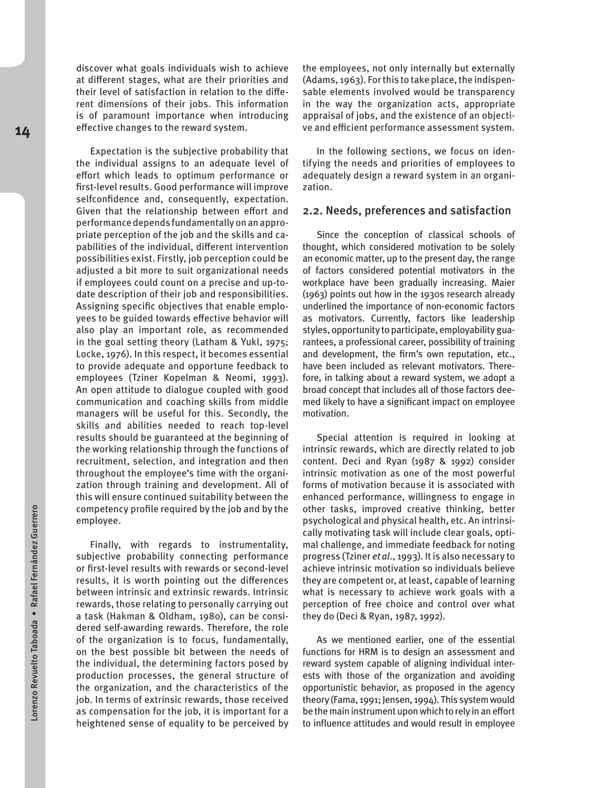discover what goals individuals wish to achieve at different stages, what are their priorities and their level of satisfaction in relation to the different dimensions of their jobs. This information is of paramount importance when introducing effective changes to the reward system.

Expectation is the subjective probability that the individual assigns to an adequate level of effort which leads to optimum performance or first-level results. Good performance will improve selfconfidence and, consequently, expectation. Given that the relationship between effort and performance depends fundamentally on an appropriate perception of the job and the skills and capabilities of the individual, different intervention possibilities exist. Firstly, job perception could be adjusted a bit more to suit organizational needs if employees could count on a precise and up-todate description of their job and responsibilities. Assigning specific objectives that enable employees to be guided towards effective behavior will also play an important role, as recommended in the goal setting theory (Latham & Yukl, 1975; Locke, 1976). In this respect, it becomes essential to provide adequate and opportune feedback to employees (Tziner Kopelman & Neomi, 1993). An open attitude to dialogue coupled with good communication and coaching skills from middle managers will be useful for this. Secondly, the skills and abilities needed to reach top-level results should be guaranteed at the beginning of the working relationship through the functions of recruitment, selection, and integration and then throughout the employee's time with the organization through training and development. All of this will ensure continued suitability between the competency profile required by the job and by the employee.

Finally, with regards to instrumentality, subjective probability connecting performance or first-level results with rewards or second-level results, it is worth pointing out the differences between intrinsic and extrinsic rewards. Intrinsic rewards, those relating to personally carrying out a task (Hakman & Oldham, 1980), can be considered self-awarding rewards. Therefore, the role of the organization is to focus, fundamentally, on the best possible bit between the needs of the individual, the determining factors posed by production processes, the general structure of the organization, and the characteristics of the job. In terms of extrinsic rewards, those received as compensation for the job, it is important for a heightened sense of equality to be perceived by the employees, not only internally but externally (Adams, 1963). For this to take place, the indispensable elements involved would be transparency in the way the organization acts, appropriate appraisal of jobs, and the existence of an objective and efficient performance assessment system.

In the following sections, we focus on identifying the needs and priorities of employees to adequately design a reward system in an organization.

#### 2.2. Needs, preferences and satisfaction

Since the conception of classical schools of thought, which considered motivation to be solely an economic matter, up to the present day, the range of factors considered potential motivators in the workplace have been gradually increasing. Maier (1963) points out how in the 1930s research already underlined the importance of non-economic factors as motivators. Currently, factors like leadership styles, opportunity to participate, employability guarantees, a professional career, possibility of training and development, the firm's own reputation, etc., have been included as relevant motivators. Therefore, in talking about a reward system, we adopt a broad concept that includes all of those factors deemed likely to have a significant impact on employee motivation.

Special attention is required in looking at intrinsic rewards, which are directly related to job content. Deci and Ryan (1987 & 1992) consider intrinsic motivation as one of the most powerful forms of motivation because it is associated with enhanced performance, willingness to engage in other tasks, improved creative thinking, better psychological and physical health, etc. An intrinsically motivating task will include clear goals, optimal challenge, and immediate feedback for noting progress (Tziner *et al*., 1993). It is also necessary to achieve intrinsic motivation so individuals believe they are competent or, at least, capable of learning what is necessary to achieve work goals with a perception of free choice and control over what they do (Deci & Ryan, 1987, 1992).

As we mentioned earlier, one of the essential functions for HRM is to design an assessment and reward system capable of aligning individual interests with those of the organization and avoiding opportunistic behavior, as proposed in the agency theory (Fama, 1991; Jensen, 1994). This system would be the main instrument upon which to rely in an effort to influence attitudes and would result in employee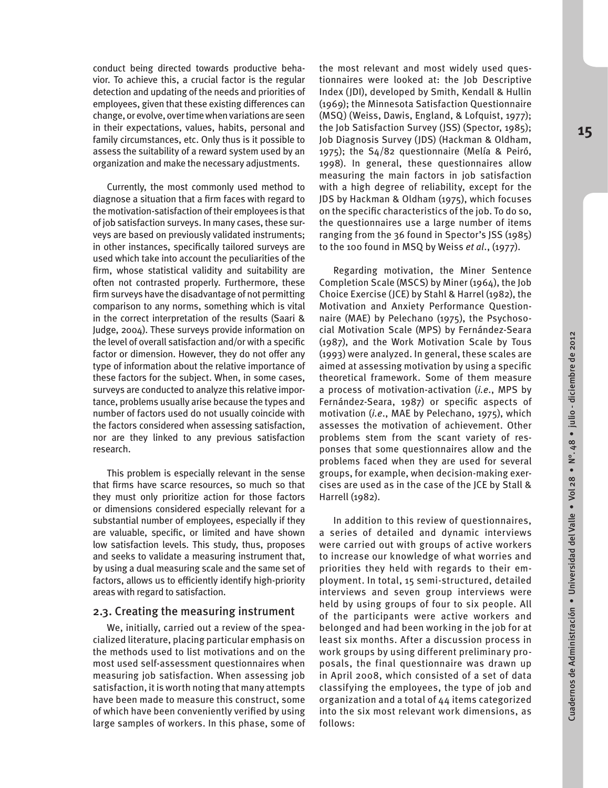**15**

conduct being directed towards productive behavior. To achieve this, a crucial factor is the regular detection and updating of the needs and priorities of employees, given that these existing differences can change, or evolve, over time when variations are seen in their expectations, values, habits, personal and family circumstances, etc. Only thus is it possible to assess the suitability of a reward system used by an organization and make the necessary adjustments.

Currently, the most commonly used method to diagnose a situation that a firm faces with regard to the motivation-satisfaction of their employees is that of job satisfaction surveys. In many cases, these surveys are based on previously validated instruments; in other instances, specifically tailored surveys are used which take into account the peculiarities of the firm, whose statistical validity and suitability are often not contrasted properly. Furthermore, these firm surveys have the disadvantage of not permitting comparison to any norms, something which is vital in the correct interpretation of the results (Saari & Judge, 2004). These surveys provide information on the level of overall satisfaction and/or with a specific factor or dimension. However, they do not offer any type of information about the relative importance of these factors for the subject. When, in some cases, surveys are conducted to analyze this relative importance, problems usually arise because the types and number of factors used do not usually coincide with the factors considered when assessing satisfaction, nor are they linked to any previous satisfaction research.

This problem is especially relevant in the sense that firms have scarce resources, so much so that they must only prioritize action for those factors or dimensions considered especially relevant for a substantial number of employees, especially if they are valuable, specific, or limited and have shown low satisfaction levels. This study, thus, proposes and seeks to validate a measuring instrument that, by using a dual measuring scale and the same set of factors, allows us to efficiently identify high-priority areas with regard to satisfaction.

## 2.3. Creating the measuring instrument

We, initially, carried out a review of the speacialized literature, placing particular emphasis on the methods used to list motivations and on the most used self-assessment questionnaires when measuring job satisfaction. When assessing job satisfaction, it is worth noting that many attempts have been made to measure this construct, some of which have been conveniently verified by using large samples of workers. In this phase, some of

the most relevant and most widely used questionnaires were looked at: the Job Descriptive Index (JDI), developed by Smith, Kendall & Hullin (1969); the Minnesota Satisfaction Questionnaire (MSQ) (Weiss, Dawis, England, & Lofquist, 1977); the Job Satisfaction Survey (JSS) (Spector, 1985); Job Diagnosis Survey (JDS) (Hackman & Oldham, 1975); the S4/82 questionnaire (Melía & Peiró, 1998). In general, these questionnaires allow measuring the main factors in job satisfaction with a high degree of reliability, except for the JDS by Hackman & Oldham (1975), which focuses on the specific characteristics of the job. To do so, the questionnaires use a large number of items ranging from the 36 found in Spector's JSS (1985) to the 100 found in MSQ by Weiss *et al*., (1977).

Regarding motivation, the Miner Sentence Completion Scale (MSCS) by Miner (1964), the Job Choice Exercise (JCE) by Stahl & Harrel (1982), the Motivation and Anxiety Performance Questionnaire (MAE) by Pelechano (1975), the Psychosocial Motivation Scale (MPS) by Fernández-Seara (1987), and the Work Motivation Scale by Tous (1993) were analyzed. In general, these scales are aimed at assessing motivation by using a specific theoretical framework. Some of them measure a process of motivation-activation (*i.e*., MPS by Fernández-Seara, 1987) or specific aspects of motivation (*i.e*., MAE by Pelechano, 1975), which assesses the motivation of achievement. Other problems stem from the scant variety of responses that some questionnaires allow and the problems faced when they are used for several groups, for example, when decision-making exercises are used as in the case of the JCE by Stall & Harrell (1982).

In addition to this review of questionnaires, a series of detailed and dynamic interviews were carried out with groups of active workers to increase our knowledge of what worries and priorities they held with regards to their employment. In total, 15 semi-structured, detailed interviews and seven group interviews were held by using groups of four to six people. All of the participants were active workers and belonged and had been working in the job for at least six months. After a discussion process in work groups by using different preliminary proposals, the final questionnaire was drawn up in April 2008, which consisted of a set of data classifying the employees, the type of job and organization and a total of 44 items categorized into the six most relevant work dimensions, as follows:

Cuadernos de Administración • Universidad del Valle • Vol 28 • Nº. 48 • julio - diciembre de 2012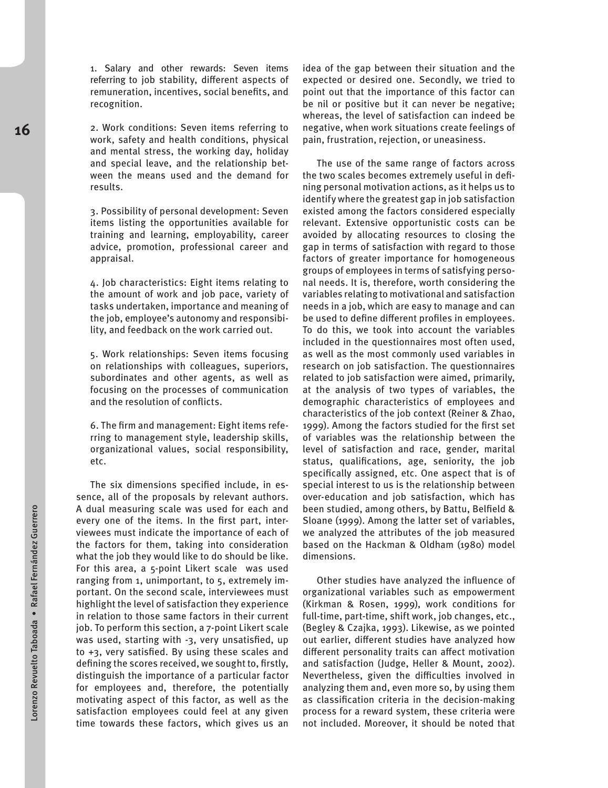1. Salary and other rewards: Seven items referring to job stability, different aspects of remuneration, incentives, social benefits, and recognition.

2. Work conditions: Seven items referring to work, safety and health conditions, physical and mental stress, the working day, holiday and special leave, and the relationship between the means used and the demand for results.

3. Possibility of personal development: Seven items listing the opportunities available for training and learning, employability, career advice, promotion, professional career and appraisal.

4. Job characteristics: Eight items relating to the amount of work and job pace, variety of tasks undertaken, importance and meaning of the job, employee's autonomy and responsibility, and feedback on the work carried out.

5. Work relationships: Seven items focusing on relationships with colleagues, superiors, subordinates and other agents, as well as focusing on the processes of communication and the resolution of conflicts.

6. The firm and management: Eight items referring to management style, leadership skills, organizational values, social responsibility, etc.

The six dimensions specified include, in essence, all of the proposals by relevant authors. A dual measuring scale was used for each and every one of the items. In the first part, interviewees must indicate the importance of each of the factors for them, taking into consideration what the job they would like to do should be like. For this area, a 5-point Likert scale was used ranging from 1, unimportant, to 5, extremely important. On the second scale, interviewees must highlight the level of satisfaction they experience in relation to those same factors in their current job. To perform this section, a 7-point Likert scale was used, starting with -3, very unsatisfied, up to +3, very satisfied. By using these scales and defining the scores received, we sought to, firstly, distinguish the importance of a particular factor for employees and, therefore, the potentially motivating aspect of this factor, as well as the satisfaction employees could feel at any given time towards these factors, which gives us an

idea of the gap between their situation and the expected or desired one. Secondly, we tried to point out that the importance of this factor can be nil or positive but it can never be negative; whereas, the level of satisfaction can indeed be negative, when work situations create feelings of pain, frustration, rejection, or uneasiness.

The use of the same range of factors across the two scales becomes extremely useful in defining personal motivation actions, as it helps us to identify where the greatest gap in job satisfaction existed among the factors considered especially relevant. Extensive opportunistic costs can be avoided by allocating resources to closing the gap in terms of satisfaction with regard to those factors of greater importance for homogeneous groups of employees in terms of satisfying personal needs. It is, therefore, worth considering the variables relating to motivational and satisfaction needs in a job, which are easy to manage and can be used to define different profiles in employees. To do this, we took into account the variables included in the questionnaires most often used, as well as the most commonly used variables in research on job satisfaction. The questionnaires related to job satisfaction were aimed, primarily, at the analysis of two types of variables, the demographic characteristics of employees and characteristics of the job context (Reiner & Zhao, 1999). Among the factors studied for the first set of variables was the relationship between the level of satisfaction and race, gender, marital status, qualifications, age, seniority, the job specifically assigned, etc. One aspect that is of special interest to us is the relationship between over-education and job satisfaction, which has been studied, among others, by Battu, Belfield & Sloane (1999). Among the latter set of variables, we analyzed the attributes of the job measured based on the Hackman & Oldham (1980) model dimensions.

Other studies have analyzed the influence of organizational variables such as empowerment (Kirkman & Rosen, 1999), work conditions for full-time, part-time, shift work, job changes, etc., (Begley & Czajka, 1993). Likewise, as we pointed out earlier, different studies have analyzed how different personality traits can affect motivation and satisfaction (Judge, Heller & Mount, 2002). Nevertheless, given the difficulties involved in analyzing them and, even more so, by using them as classification criteria in the decision-making process for a reward system, these criteria were not included. Moreover, it should be noted that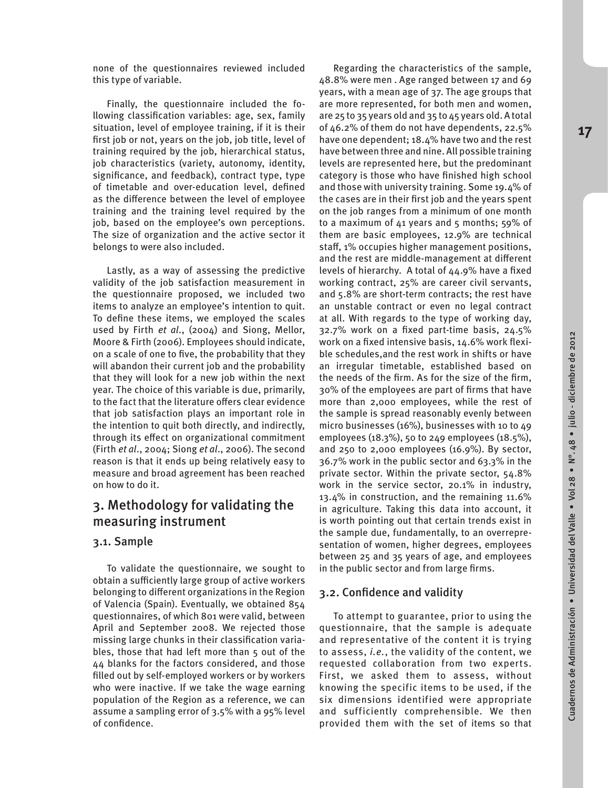none of the questionnaires reviewed included this type of variable.

Finally, the questionnaire included the following classification variables: age, sex, family situation, level of employee training, if it is their first job or not, years on the job, job title, level of training required by the job, hierarchical status, job characteristics (variety, autonomy, identity, significance, and feedback), contract type, type of timetable and over-education level, defined as the difference between the level of employee training and the training level required by the job, based on the employee's own perceptions. The size of organization and the active sector it belongs to were also included.

Lastly, as a way of assessing the predictive validity of the job satisfaction measurement in the questionnaire proposed, we included two items to analyze an employee's intention to quit. To define these items, we employed the scales used by Firth *et al*., (2004) and Siong, Mellor, Moore & Firth (2006). Employees should indicate, on a scale of one to five, the probability that they will abandon their current job and the probability that they will look for a new job within the next year. The choice of this variable is due, primarily, to the fact that the literature offers clear evidence that job satisfaction plays an important role in the intention to quit both directly, and indirectly, through its effect on organizational commitment (Firth *et al*., 2004; Siong *et al*., 2006). The second reason is that it ends up being relatively easy to measure and broad agreement has been reached on how to do it.

## 3. Methodology for validating the measuring instrument

## 3.1. Sample

To validate the questionnaire, we sought to obtain a sufficiently large group of active workers belonging to different organizations in the Region of Valencia (Spain). Eventually, we obtained 854 questionnaires, of which 801 were valid, between April and September 2008. We rejected those missing large chunks in their classification variables, those that had left more than 5 out of the 44 blanks for the factors considered, and those filled out by self-employed workers or by workers who were inactive. If we take the wage earning population of the Region as a reference, we can assume a sampling error of 3.5% with a 95% level of confidence.

Regarding the characteristics of the sample, 48.8% were men . Age ranged between 17 and 69 years, with a mean age of 37. The age groups that are more represented, for both men and women, are 25 to 35 years old and 35 to 45 years old. A total of 46.2% of them do not have dependents, 22.5% have one dependent; 18.4% have two and the rest have between three and nine. All possible training levels are represented here, but the predominant category is those who have finished high school and those with university training. Some 19.4% of the cases are in their first job and the years spent on the job ranges from a minimum of one month to a maximum of  $41$  years and  $5$  months;  $59\%$  of them are basic employees, 12.9% are technical staff, 1% occupies higher management positions, and the rest are middle-management at different levels of hierarchy. A total of 44.9% have a fixed working contract, 25% are career civil servants, and 5.8% are short-term contracts; the rest have an unstable contract or even no legal contract at all. With regards to the type of working day, 32.7% work on a fixed part-time basis, 24.5% work on a fixed intensive basis, 14.6% work flexible schedules,and the rest work in shifts or have an irregular timetable, established based on the needs of the firm. As for the size of the firm, 30% of the employees are part of firms that have more than 2,000 employees, while the rest of the sample is spread reasonably evenly between micro businesses (16%), businesses with 10 to 49 employees (18.3%), 50 to 249 employees (18.5%), and 250 to 2,000 employees (16.9%). By sector, 36.7% work in the public sector and 63.3% in the private sector. Within the private sector, 54.8% work in the service sector, 20.1% in industry, 13.4% in construction, and the remaining 11.6% in agriculture. Taking this data into account, it is worth pointing out that certain trends exist in the sample due, fundamentally, to an overrepresentation of women, higher degrees, employees between 25 and 35 years of age, and employees in the public sector and from large firms.

## 3.2. Confidence and validity

To attempt to guarantee, prior to using the questionnaire, that the sample is adequate and representative of the content it is trying to assess, *i.e.*, the validity of the content, we requested collaboration from two experts. First, we asked them to assess, without knowing the specific items to be used, if the six dimensions identified were appropriate and sufficiently comprehensible. We then provided them with the set of items so that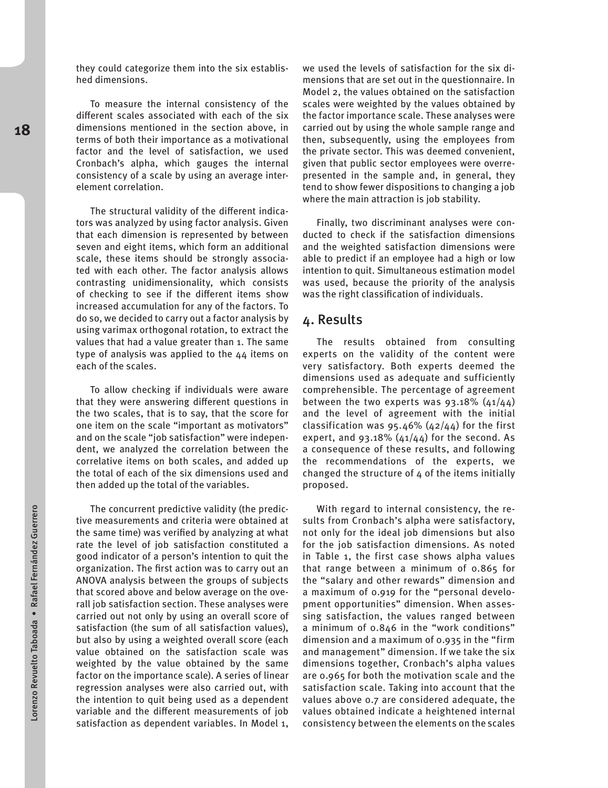they could categorize them into the six established dimensions.

To measure the internal consistency of the different scales associated with each of the six dimensions mentioned in the section above, in terms of both their importance as a motivational factor and the level of satisfaction, we used Cronbach's alpha, which gauges the internal consistency of a scale by using an average interelement correlation.

The structural validity of the different indicators was analyzed by using factor analysis. Given that each dimension is represented by between seven and eight items, which form an additional scale, these items should be strongly associated with each other. The factor analysis allows contrasting unidimensionality, which consists of checking to see if the different items show increased accumulation for any of the factors. To do so, we decided to carry out a factor analysis by using varimax orthogonal rotation, to extract the values that had a value greater than 1. The same type of analysis was applied to the 44 items on each of the scales.

To allow checking if individuals were aware that they were answering different questions in the two scales, that is to say, that the score for one item on the scale "important as motivators" and on the scale "job satisfaction" were independent, we analyzed the correlation between the correlative items on both scales, and added up the total of each of the six dimensions used and then added up the total of the variables.

The concurrent predictive validity (the predictive measurements and criteria were obtained at the same time) was verified by analyzing at what rate the level of job satisfaction constituted a good indicator of a person's intention to quit the organization. The first action was to carry out an ANOVA analysis between the groups of subjects that scored above and below average on the overall job satisfaction section. These analyses were carried out not only by using an overall score of satisfaction (the sum of all satisfaction values), but also by using a weighted overall score (each value obtained on the satisfaction scale was weighted by the value obtained by the same factor on the importance scale). A series of linear regression analyses were also carried out, with the intention to quit being used as a dependent variable and the different measurements of job satisfaction as dependent variables. In Model 1, we used the levels of satisfaction for the six dimensions that are set out in the questionnaire. In Model 2, the values obtained on the satisfaction scales were weighted by the values obtained by the factor importance scale. These analyses were carried out by using the whole sample range and then, subsequently, using the employees from the private sector. This was deemed convenient, given that public sector employees were overrepresented in the sample and, in general, they tend to show fewer dispositions to changing a job where the main attraction is job stability.

Finally, two discriminant analyses were conducted to check if the satisfaction dimensions and the weighted satisfaction dimensions were able to predict if an employee had a high or low intention to quit. Simultaneous estimation model was used, because the priority of the analysis was the right classification of individuals.

### 4. Results

The results obtained from consulting experts on the validity of the content were very satisfactory. Both experts deemed the dimensions used as adequate and sufficiently comprehensible. The percentage of agreement between the two experts was  $93.18\%$  ( $41/44$ ) and the level of agreement with the initial classification was  $95.46\%$  ( $42/44$ ) for the first expert, and 93.18%  $(41/44)$  for the second. As a consequence of these results, and following the recommendations of the experts, we changed the structure of 4 of the items initially proposed.

With regard to internal consistency, the results from Cronbach's alpha were satisfactory, not only for the ideal job dimensions but also for the job satisfaction dimensions. As noted in Table 1, the first case shows alpha values that range between a minimum of 0.865 for the "salary and other rewards" dimension and a maximum of 0.919 for the "personal development opportunities" dimension. When assessing satisfaction, the values ranged between a minimum of 0.846 in the "work conditions" dimension and a maximum of 0.935 in the "firm and management" dimension. If we take the six dimensions together, Cronbach's alpha values are 0.965 for both the motivation scale and the satisfaction scale. Taking into account that the values above 0.7 are considered adequate, the values obtained indicate a heightened internal consistency between the elements on the scales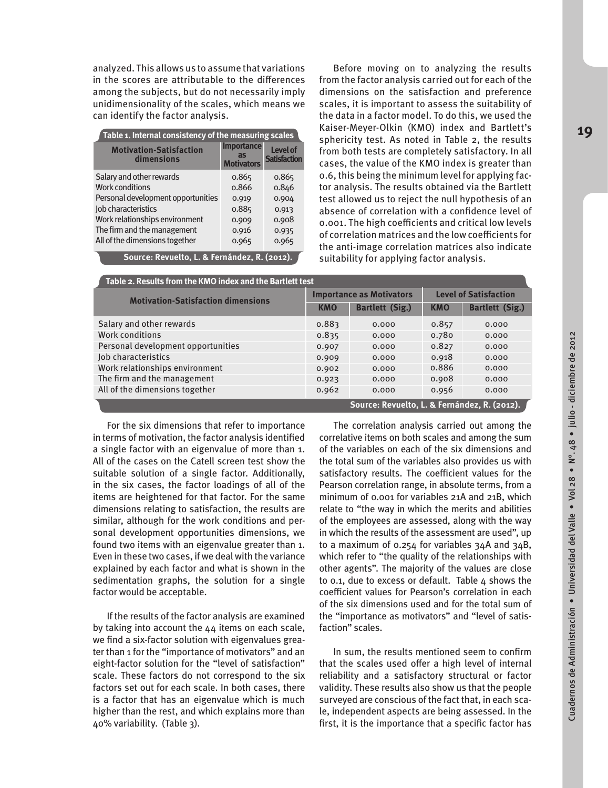analyzed. This allows us to assume that variations in the scores are attributable to the differences among the subjects, but do not necessarily imply unidimensionality of the scales, which means we can identify the factor analysis.

| Table 1. Internal consistency of the measuring scales |                                              |                                        |  |  |  |  |  |
|-------------------------------------------------------|----------------------------------------------|----------------------------------------|--|--|--|--|--|
| <b>Motivation-Satisfaction</b><br>dimensions          | <b>Importance</b><br>as<br><b>Motivators</b> | <b>Level of</b><br><b>Satisfaction</b> |  |  |  |  |  |
| Salary and other rewards                              | 0.865                                        | 0.865                                  |  |  |  |  |  |
| <b>Work conditions</b>                                | 0.866                                        | 0.846                                  |  |  |  |  |  |
| Personal development opportunities                    | 0.919                                        | 0.904                                  |  |  |  |  |  |
| Job characteristics                                   | 0.885                                        | 0.913                                  |  |  |  |  |  |
| Work relationships environment                        | 0.909                                        | 0.908                                  |  |  |  |  |  |
| The firm and the management                           | 0.916                                        | 0.935                                  |  |  |  |  |  |
| All of the dimensions together<br>. .                 | 0.965                                        | 0.965                                  |  |  |  |  |  |

Before moving on to analyzing the results from the factor analysis carried out for each of the dimensions on the satisfaction and preference scales, it is important to assess the suitability of the data in a factor model. To do this, we used the Kaiser-Meyer-Olkin (KMO) index and Bartlett's sphericity test. As noted in Table 2, the results from both tests are completely satisfactory. In all cases, the value of the KMO index is greater than 0.6, this being the minimum level for applying factor analysis. The results obtained via the Bartlett test allowed us to reject the null hypothesis of an absence of correlation with a confidence level of 0.001. The high coefficients and critical low levels of correlation matrices and the low coefficients for the anti-image correlation matrices also indicate **Source: Revuelto, L. & Fernández, R. (2012).** suitability for applying factor analysis.

| Table 2. Results from the KMO index and the Bartlett test |            |                                              |                              |                        |  |  |  |  |
|-----------------------------------------------------------|------------|----------------------------------------------|------------------------------|------------------------|--|--|--|--|
| <b>Motivation-Satisfaction dimensions</b>                 |            | <b>Importance as Motivators</b>              | <b>Level of Satisfaction</b> |                        |  |  |  |  |
|                                                           | <b>KMO</b> | <b>Bartlett (Sig.)</b>                       | <b>KMO</b>                   | <b>Bartlett (Sig.)</b> |  |  |  |  |
| Salary and other rewards                                  | 0.883      | 0.000                                        | 0.857                        | 0.000                  |  |  |  |  |
| Work conditions                                           | 0.835      | 0.000                                        | 0.780                        | 0.000                  |  |  |  |  |
| Personal development opportunities                        | 0.907      | 0.000                                        | 0.827                        | 0.000                  |  |  |  |  |
| Job characteristics                                       | 0.909      | 0.000                                        | 0.918                        | 0.000                  |  |  |  |  |
| Work relationships environment                            | 0.902      | 0.000                                        | 0.886                        | 0.000                  |  |  |  |  |
| The firm and the management                               | 0.923      | 0.000                                        | 0.908                        | 0.000                  |  |  |  |  |
| All of the dimensions together                            | 0.962      | 0.000                                        | 0.956                        | 0.000                  |  |  |  |  |
|                                                           |            | Source: Revuelto, L. & Fernández, R. (2012). |                              |                        |  |  |  |  |

For the six dimensions that refer to importance in terms of motivation, the factor analysis identified a single factor with an eigenvalue of more than 1. All of the cases on the Catell screen test show the suitable solution of a single factor. Additionally, in the six cases, the factor loadings of all of the items are heightened for that factor. For the same dimensions relating to satisfaction, the results are similar, although for the work conditions and personal development opportunities dimensions, we found two items with an eigenvalue greater than 1. Even in these two cases, if we deal with the variance explained by each factor and what is shown in the sedimentation graphs, the solution for a single factor would be acceptable.

If the results of the factor analysis are examined by taking into account the 44 items on each scale, we find a six-factor solution with eigenvalues greater than 1 for the "importance of motivators" and an eight-factor solution for the "level of satisfaction" scale. These factors do not correspond to the six factors set out for each scale. In both cases, there is a factor that has an eigenvalue which is much higher than the rest, and which explains more than 40% variability. (Table 3).

The correlation analysis carried out among the correlative items on both scales and among the sum of the variables on each of the six dimensions and the total sum of the variables also provides us with satisfactory results. The coefficient values for the Pearson correlation range, in absolute terms, from a minimum of 0.001 for variables 21A and 21B, which relate to "the way in which the merits and abilities of the employees are assessed, along with the way in which the results of the assessment are used", up to a maximum of 0.254 for variables 34A and 34B, which refer to "the quality of the relationships with other agents". The majority of the values are close to 0.1, due to excess or default. Table  $4$  shows the coefficient values for Pearson's correlation in each of the six dimensions used and for the total sum of the "importance as motivators" and "level of satisfaction" scales.

In sum, the results mentioned seem to confirm that the scales used offer a high level of internal reliability and a satisfactory structural or factor validity. These results also show us that the people surveyed are conscious of the fact that, in each scale, independent aspects are being assessed. In the first, it is the importance that a specific factor has Cuadernos de Administración • Universidad del Valle • Vol 28 • N°. 48 • julio - diciembre de 2012

Cuadernos de Administración • Universidad del Valle • Vol 28 • Nº. 48 • julio-diciembre de 2012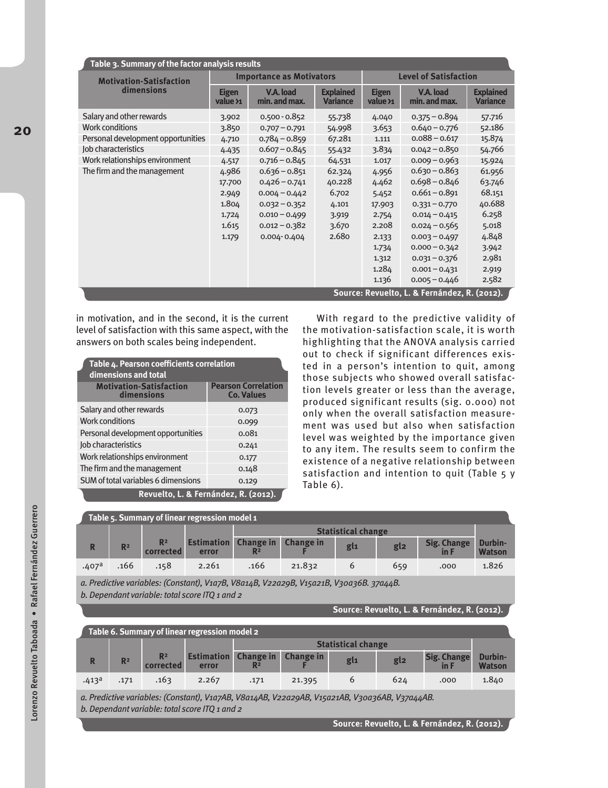| Table 3. Summary of the factor analysis results |                                                        |                                 |                                     |                              |                            |                                     |  |  |
|-------------------------------------------------|--------------------------------------------------------|---------------------------------|-------------------------------------|------------------------------|----------------------------|-------------------------------------|--|--|
| <b>Motivation-Satisfaction</b>                  |                                                        | <b>Importance as Motivators</b> |                                     | <b>Level of Satisfaction</b> |                            |                                     |  |  |
| dimensions                                      | V.A. load<br><b>Eigen</b><br>min. and max.<br>value >1 |                                 | <b>Explained</b><br><b>Variance</b> | <b>Eigen</b><br>value >1     | V.A. load<br>min. and max. | <b>Explained</b><br><b>Variance</b> |  |  |
| Salary and other rewards                        | 3.902                                                  | $0.500 - 0.852$                 | 55.738                              | 4.040                        | $0.375 - 0.894$            | 57.716                              |  |  |
| <b>Work conditions</b>                          | 3.850                                                  | $0.707 - 0.791$                 | 54.998                              | 3.653                        | $0.640 - 0.776$            | 52.186                              |  |  |
| Personal development opportunities              | 4.710                                                  | $0.784 - 0.859$                 | 67.281                              | 1.111                        | $0.088 - 0.617$            | 15.874                              |  |  |
| Job characteristics                             | 4.435                                                  | $0.607 - 0.845$                 | 55.432                              | 3.834                        | $0.042 - 0.850$            | 54.766                              |  |  |
| Work relationships environment                  | 4.517                                                  | $0.716 - 0.845$                 | 64.531                              | 1.017                        | $0.009 - 0.963$            | 15.924                              |  |  |
| The firm and the management                     | 4.986                                                  | $0.636 - 0.851$                 | 62.324                              | 4.956                        | $0.630 - 0.863$            | 61.956                              |  |  |
|                                                 | 17.700                                                 | $0.426 - 0.741$                 | 40.228                              | 4.462                        | $0.698 - 0.846$            | 63.746                              |  |  |
|                                                 | 2.949                                                  | $0.004 - 0.442$                 | 6.702                               | 5.452                        | $0.661 - 0.891$            | 68.151                              |  |  |
|                                                 | 1.804                                                  | $0.032 - 0.352$                 | 4.101                               | 17.903                       | $0.331 - 0.770$            | 40.688                              |  |  |
|                                                 | 1.724                                                  | $0.010 - 0.499$                 | 3.919                               | 2.754                        | $0.014 - 0.415$            | 6.258                               |  |  |
|                                                 | 1.615                                                  | $0.012 - 0.382$                 | 3.670                               | 2.208                        | $0.024 - 0.565$            | 5.018                               |  |  |
|                                                 | 1.179                                                  | $0.004 - 0.404$                 | 2.680                               | 2.133                        | $0.003 - 0.497$            | 4.848                               |  |  |
|                                                 |                                                        |                                 |                                     | 1.734                        | $0.000 - 0.342$            | 3.942                               |  |  |
|                                                 |                                                        |                                 |                                     | 1.312                        | $0.031 - 0.376$            | 2.981                               |  |  |
|                                                 |                                                        |                                 |                                     | 1.284                        | $0.001 - 0.431$            | 2.919                               |  |  |
|                                                 |                                                        |                                 |                                     | 1.136                        | $0.005 - 0.446$            | 2.582                               |  |  |
| Source: Revuelto, L. & Fernández, R. (2012).    |                                                        |                                 |                                     |                              |                            |                                     |  |  |

in motivation, and in the second, it is the current level of satisfaction with this same aspect, with the answers on both scales being independent.

| Table 4. Pearson coefficients correlation    |                                                 |  |  |  |  |  |
|----------------------------------------------|-------------------------------------------------|--|--|--|--|--|
| dimensions and total                         |                                                 |  |  |  |  |  |
| <b>Motivation-Satisfaction</b><br>dimensions | <b>Pearson Correlation</b><br><b>Co. Values</b> |  |  |  |  |  |
| Salary and other rewards                     | 0.073                                           |  |  |  |  |  |
| <b>Work conditions</b>                       | 0.099                                           |  |  |  |  |  |
| Personal development opportunities           | 0.081                                           |  |  |  |  |  |
| Job characteristics                          | 0.241                                           |  |  |  |  |  |
| Work relationships environment               | 0.177                                           |  |  |  |  |  |
| The firm and the management                  | 0.148                                           |  |  |  |  |  |
| SUM of total variables 6 dimensions          | 0.129                                           |  |  |  |  |  |
| Revuelto, L. & Fernández, R. (2012).         |                                                 |  |  |  |  |  |

With regard to the predictive validity of the motivation-satisfaction scale, it is worth highlighting that the ANOVA analysis carried out to check if significant differences existed in a person's intention to quit, among those subjects who showed overall satisfaction levels greater or less than the average, produced significant results (sig. 0.000) not only when the overall satisfaction measurement was used but also when satisfaction level was weighted by the importance given to any item. The results seem to confirm the existence of a negative relationship between satisfaction and intention to quit (Table 5 y Table 6).

| Table 5. Summary of linear regression model 1 |                |                             |                            |                                    |                  |     |                 |                        |                          |
|-----------------------------------------------|----------------|-----------------------------|----------------------------|------------------------------------|------------------|-----|-----------------|------------------------|--------------------------|
|                                               |                |                             |                            | <b>Statistical change</b>          |                  |     |                 |                        |                          |
|                                               | R <sup>2</sup> | R <sup>2</sup><br>corrected | <b>Estimation</b><br>error | <b>Change in</b><br>R <sup>2</sup> | <b>Change in</b> | gl1 | gl <sub>2</sub> | Sig. Change<br>$\ln F$ | Durbin-<br><b>Watson</b> |
| .407 <sup>a</sup>                             | .166           | .158                        | 2.261                      | .166                               | 21.832           |     | 659             | .000                   | 1.826                    |

*a. Predictive variables: (Constant), V1a7B, V8a14B, V22a29B, V15a21B, V30a36B. 37a44B. b. Dependant variable: total score ITQ 1 and 2*

**Source: Revuelto, L. & Fernández, R. (2012).**

| Table 6. Summary of linear regression model 2 |                |                             |                            |                                    |                  |                 |         |                    |                          |
|-----------------------------------------------|----------------|-----------------------------|----------------------------|------------------------------------|------------------|-----------------|---------|--------------------|--------------------------|
|                                               |                |                             |                            | <b>Statistical change</b>          |                  |                 |         |                    |                          |
| R                                             | R <sup>2</sup> | R <sup>2</sup><br>corrected | <b>Estimation</b><br>error | <b>Change in</b><br>R <sup>2</sup> | <b>Change in</b> | gl <sub>1</sub> | $g_{2}$ | <b>Sig. Change</b> | Durbin-<br><b>Watson</b> |
| .413 <sup>a</sup>                             | .171           | .163                        | 2.267                      | .171                               | 21.395           |                 | 624     | .000               | 1.840                    |

*a. Predictive variables: (Constant), V1a7AB, V8a14AB, V22a29AB, V15a21AB, V30a36AB, V37a44AB. b. Dependant variable: total score ITQ 1 and 2*

**Source: Revuelto, L. & Fernández, R. (2012).**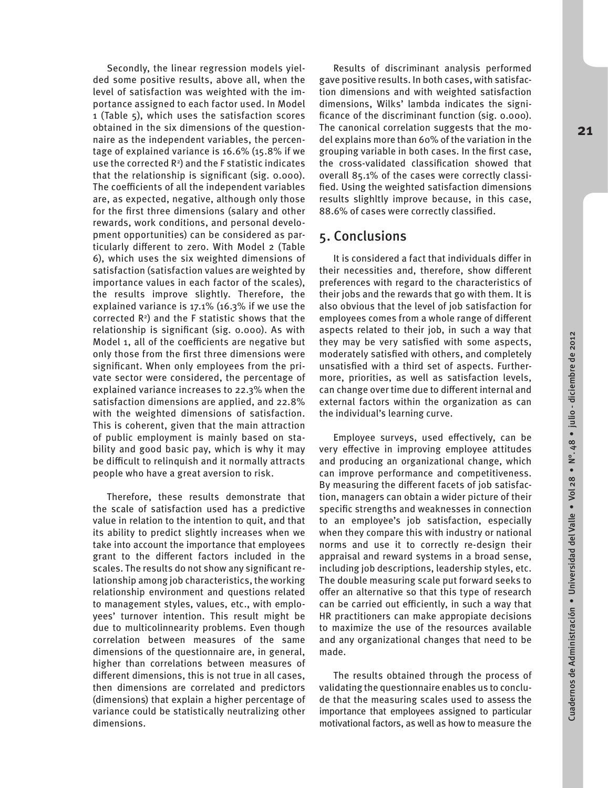Cuadernos de Administración • Universidad del Valle • Vol 28 • N°. 48 • julio - diciembre de 2012

Cuadernos de Administración • Universidad del Valle • Vol 28 • Nº. 48 • julio - diciembre de 2012

Secondly, the linear regression models yielded some positive results, above all, when the level of satisfaction was weighted with the importance assigned to each factor used. In Model 1 (Table 5), which uses the satisfaction scores obtained in the six dimensions of the questionnaire as the independent variables, the percentage of explained variance is 16.6% (15.8% if we use the corrected  $\mathsf{R}^2$ ) and the F statistic indicates that the relationship is significant (sig. 0.000). The coefficients of all the independent variables are, as expected, negative, although only those for the first three dimensions (salary and other rewards, work conditions, and personal development opportunities) can be considered as particularly different to zero. With Model 2 (Table 6), which uses the six weighted dimensions of satisfaction (satisfaction values are weighted by importance values in each factor of the scales), the results improve slightly. Therefore, the explained variance is 17.1% (16.3% if we use the corrected  $\mathsf{R}^2$ ) and the F statistic shows that the relationship is significant (sig. 0.000). As with Model 1, all of the coefficients are negative but only those from the first three dimensions were significant. When only employees from the private sector were considered, the percentage of explained variance increases to 22.3% when the satisfaction dimensions are applied, and 22.8% with the weighted dimensions of satisfaction. This is coherent, given that the main attraction of public employment is mainly based on stability and good basic pay, which is why it may be difficult to relinquish and it normally attracts people who have a great aversion to risk.

Therefore, these results demonstrate that the scale of satisfaction used has a predictive value in relation to the intention to quit, and that its ability to predict slightly increases when we take into account the importance that employees grant to the different factors included in the scales. The results do not show any significant relationship among job characteristics, the working relationship environment and questions related to management styles, values, etc., with employees' turnover intention. This result might be due to multicolinnearity problems. Even though correlation between measures of the same dimensions of the questionnaire are, in general, higher than correlations between measures of different dimensions, this is not true in all cases, then dimensions are correlated and predictors (dimensions) that explain a higher percentage of variance could be statistically neutralizing other dimensions.

Results of discriminant analysis performed gave positive results. In both cases, with satisfaction dimensions and with weighted satisfaction dimensions, Wilks' lambda indicates the significance of the discriminant function (sig. 0.000). The canonical correlation suggests that the model explains more than 60% of the variation in the grouping variable in both cases. In the first case, the cross-validated classification showed that overall 85.1% of the cases were correctly classified. Using the weighted satisfaction dimensions results slighltly improve because, in this case, 88.6% of cases were correctly classified.

## 5. Conclusions

It is considered a fact that individuals differ in their necessities and, therefore, show different preferences with regard to the characteristics of their jobs and the rewards that go with them. It is also obvious that the level of job satisfaction for employees comes from a whole range of different aspects related to their job, in such a way that they may be very satisfied with some aspects, moderately satisfied with others, and completely unsatisfied with a third set of aspects. Furthermore, priorities, as well as satisfaction levels, can change over time due to different internal and external factors within the organization as can the individual's learning curve.

Employee surveys, used effectively, can be very effective in improving employee attitudes and producing an organizational change, which can improve performance and competitiveness. By measuring the different facets of job satisfaction, managers can obtain a wider picture of their specific strengths and weaknesses in connection to an employee's job satisfaction, especially when they compare this with industry or national norms and use it to correctly re-design their appraisal and reward systems in a broad sense, including job descriptions, leadership styles, etc. The double measuring scale put forward seeks to offer an alternative so that this type of research can be carried out efficiently, in such a way that HR practitioners can make appropiate decisions to maximize the use of the resources available and any organizational changes that need to be made.

The results obtained through the process of validating the questionnaire enables us to conclude that the measuring scales used to assess the importance that employees assigned to particular motivational factors, as well as how to measure the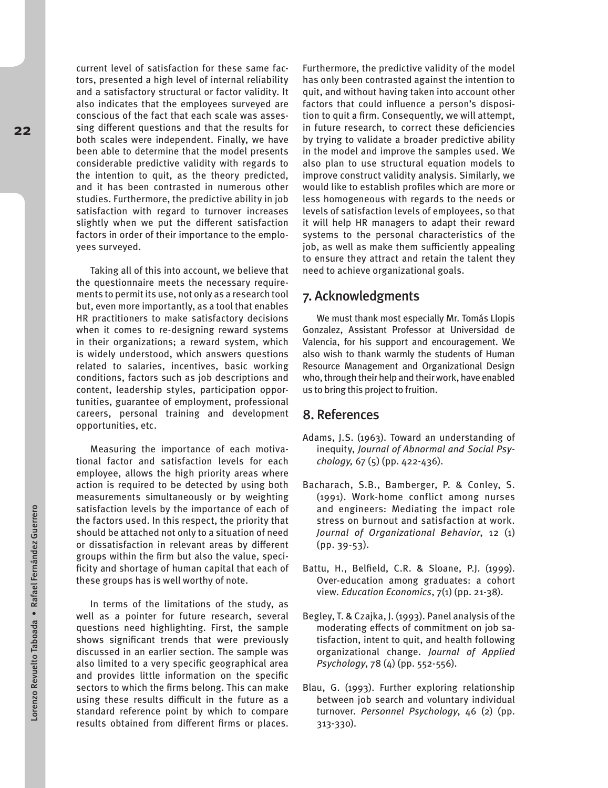current level of satisfaction for these same factors, presented a high level of internal reliability and a satisfactory structural or factor validity. It also indicates that the employees surveyed are conscious of the fact that each scale was assessing different questions and that the results for both scales were independent. Finally, we have been able to determine that the model presents considerable predictive validity with regards to the intention to quit, as the theory predicted, and it has been contrasted in numerous other studies. Furthermore, the predictive ability in job satisfaction with regard to turnover increases slightly when we put the different satisfaction factors in order of their importance to the employees surveyed.

Taking all of this into account, we believe that the questionnaire meets the necessary requirements to permit its use, not only as a research tool but, even more importantly, as a tool that enables HR practitioners to make satisfactory decisions when it comes to re-designing reward systems in their organizations; a reward system, which is widely understood, which answers questions related to salaries, incentives, basic working conditions, factors such as job descriptions and content, leadership styles, participation opportunities, guarantee of employment, professional careers, personal training and development opportunities, etc.

Measuring the importance of each motivational factor and satisfaction levels for each employee, allows the high priority areas where action is required to be detected by using both measurements simultaneously or by weighting satisfaction levels by the importance of each of the factors used. In this respect, the priority that should be attached not only to a situation of need or dissatisfaction in relevant areas by different groups within the firm but also the value, specificity and shortage of human capital that each of these groups has is well worthy of note.

In terms of the limitations of the study, as well as a pointer for future research, several questions need highlighting. First, the sample shows significant trends that were previously discussed in an earlier section. The sample was also limited to a very specific geographical area and provides little information on the specific sectors to which the firms belong. This can make using these results difficult in the future as a standard reference point by which to compare results obtained from different firms or places.

Furthermore, the predictive validity of the model has only been contrasted against the intention to quit, and without having taken into account other factors that could influence a person's disposition to quit a firm. Consequently, we will attempt, in future research, to correct these deficiencies by trying to validate a broader predictive ability in the model and improve the samples used. We also plan to use structural equation models to improve construct validity analysis. Similarly, we would like to establish profiles which are more or less homogeneous with regards to the needs or levels of satisfaction levels of employees, so that it will help HR managers to adapt their reward systems to the personal characteristics of the job, as well as make them sufficiently appealing to ensure they attract and retain the talent they need to achieve organizational goals.

## 7. Acknowledgments

We must thank most especially Mr. Tomás Llopis Gonzalez, Assistant Professor at Universidad de Valencia, for his support and encouragement. We also wish to thank warmly the students of Human Resource Management and Organizational Design who, through their help and their work, have enabled us to bring this project to fruition.

## 8. References

- Adams, J.S. (1963). Toward an understanding of inequity, *Journal of Abnormal and Social Psychology,* 67 (5) (pp. 422-436).
- Bacharach, S.B., Bamberger, P. & Conley, S. (1991). Work-home conflict among nurses and engineers: Mediating the impact role stress on burnout and satisfaction at work. *Journal of Organizational Behavior*, 12 (1) (pp. 39-53).
- Battu, H., Belfield, C.R. & Sloane, P.J. (1999). Over-education among graduates: a cohort view. *Education Economics*, 7(1) (pp. 21-38).
- Begley, T. & Czajka, J. (1993). Panel analysis of the moderating effects of commitment on job satisfaction, intent to quit, and health following organizational change. *Journal of Applied Psychology*, 78 (4) (pp. 552-556).
- Blau, G. (1993). Further exploring relationship between job search and voluntary individual turnover. *Personnel Psychology*, 46 (2) (pp. 313-330).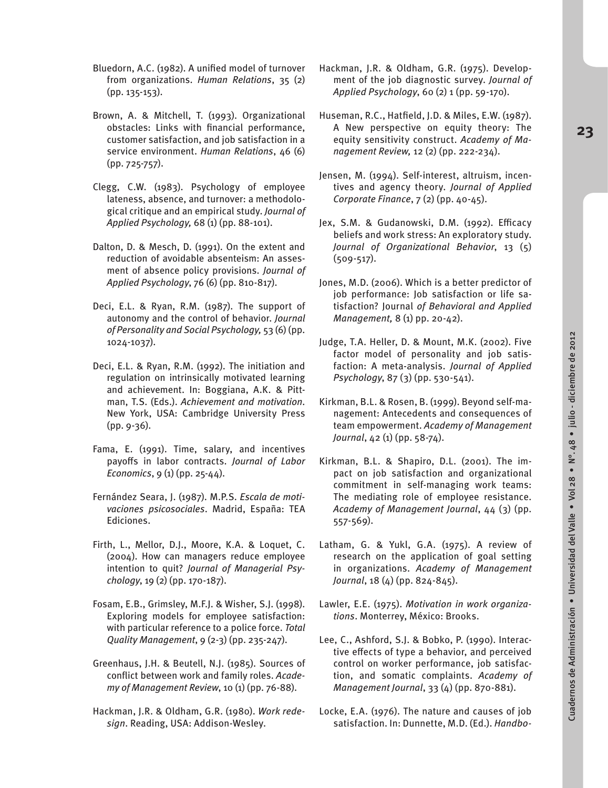- Bluedorn, A.C. (1982). A unified model of turnover from organizations. *Human Relations*, 35 (2) (pp. 135-153).
- Brown, A. & Mitchell, T. (1993). Organizational obstacles: Links with financial performance, customer satisfaction, and job satisfaction in a service environment. *Human Relations*, 46 (6) (pp. 725-757).
- Clegg, C.W. (1983). Psychology of employee lateness, absence, and turnover: a methodological critique and an empirical study. *Journal of Applied Psychology,* 68 (1) (pp. 88-101).
- Dalton, D. & Mesch, D. (1991). On the extent and reduction of avoidable absenteism: An assesment of absence policy provisions. *Journal of Applied Psychology*, 76 (6) (pp. 810-817).
- Deci, E.L. & Ryan, R.M. (1987). The support of autonomy and the control of behavior. *Journal of Personality and Social Psychology,* 53 (6) (pp. 1024-1037).
- Deci, E.L. & Ryan, R.M. (1992). The initiation and regulation on intrinsically motivated learning and achievement. In: Boggiana, A.K. & Pittman, T.S. (Eds.). *Achievement and motivation*. New York, USA: Cambridge University Press (pp. 9-36).
- Fama, E. (1991). Time, salary, and incentives payoffs in labor contracts. *Journal of Labor Economics*, 9 (1) (pp. 25-44).
- Fernández Seara, J. (1987). M.P.S. *Escala de motivaciones psicosociales*. Madrid, España: TEA Ediciones.
- Firth, L., Mellor, D.J., Moore, K.A. & Loquet, C. (2004). How can managers reduce employee intention to quit? *Journal of Managerial Psychology*, 19 (2) (pp. 170-187).
- Fosam, E.B., Grimsley, M.F.J. & Wisher, S.J. (1998). Exploring models for employee satisfaction: with particular reference to a police force. *Total Quality Management*, 9 (2-3) (pp. 235-247).
- Greenhaus, J.H. & Beutell, N.J. (1985). Sources of conflict between work and family roles. *Academy of Management Review*, 10 (1) (pp. 76-88).
- Hackman, J.R. & Oldham, G.R. (1980). *Work redesign*. Reading, USA: Addison-Wesley.
- Hackman, J.R. & Oldham, G.R. (1975). Development of the job diagnostic survey. *Journal of Applied Psychology*, 60 (2) 1 (pp. 59-170).
- Huseman, R.C., Hatfield, J.D. & Miles, E.W. (1987). A New perspective on equity theory: The equity sensitivity construct. *Academy of Management Review,* 12 (2) (pp. 222-234).
- Jensen, M. (1994). Self-interest, altruism, incentives and agency theory. *Journal of Applied Corporate Finance*, 7 (2) (pp. 40-45).
- Jex, S.M. & Gudanowski, D.M. (1992). Efficacy beliefs and work stress: An exploratory study. *Journal of Organizational Behavior*, 13 (5) (509-517).
- Jones, M.D. (2006). Which is a better predictor of job performance: Job satisfaction or life satisfaction? Journal *of Behavioral and Applied Management,* 8 (1) pp. 20-42).
- Judge, T.A. Heller, D. & Mount, M.K. (2002). Five factor model of personality and job satisfaction: A meta-analysis. *Journal of Applied Psychology*, 87 (3) (pp. 530-541).
- Kirkman, B.L. & Rosen, B. (1999). Beyond self-management: Antecedents and consequences of team empowerment. *Academy of Management Journal*, 42 (1) (pp. 58-74).
- Kirkman, B.L. & Shapiro, D.L. (2001). The impact on job satisfaction and organizational commitment in self-managing work teams: The mediating role of employee resistance. *Academy of Management Journal*, 44 (3) (pp. 557-569).
- Latham, G. & Yukl, G.A. (1975). A review of research on the application of goal setting in organizations. *Academy of Management Journal*, 18 (4) (pp. 824-845).
- Lawler, E.E. (1975). *Motivation in work organizations*. Monterrey, México: Brooks.
- Lee, C., Ashford, S.J. & Bobko, P. (1990). Interactive effects of type a behavior, and perceived control on worker performance, job satisfaction, and somatic complaints. *Academy of Management Journal*, 33 (4) (pp. 870-881).
- Locke, E.A. (1976). The nature and causes of job satisfaction. In: Dunnette, M.D. (Ed.). *Handbo-*